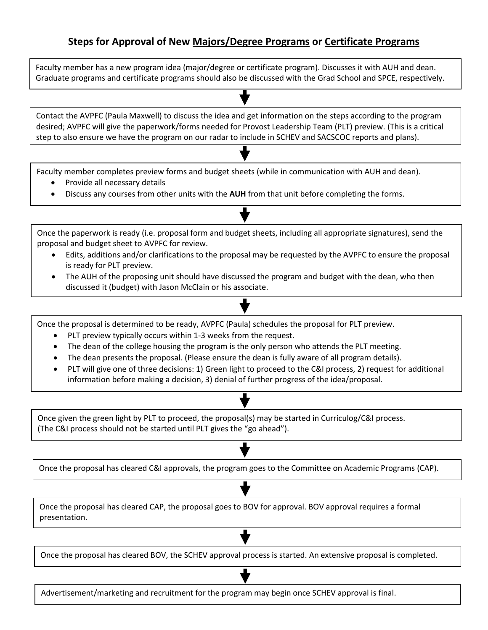## **Steps for Approval of New Majors/Degree Programs or Certificate Programs**

Faculty member has a new program idea (major/degree or certificate program). Discusses it with AUH and dean. Graduate programs and certificate programs should also be discussed with the Grad School and SPCE, respectively.

Contact the AVPFC (Paula Maxwell) to discuss the idea and get information on the steps according to the program desired; AVPFC will give the paperwork/forms needed for Provost Leadership Team (PLT) preview. (This is a critical step to also ensure we have the program on our radar to include in SCHEV and SACSCOC reports and plans).

Faculty member completes preview forms and budget sheets (while in communication with AUH and dean).

- Provide all necessary details
- Discuss any courses from other units with the **AUH** from that unit before completing the forms.

Once the paperwork is ready (i.e. proposal form and budget sheets, including all appropriate signatures), send the proposal and budget sheet to AVPFC for review.

- Edits, additions and/or clarifications to the proposal may be requested by the AVPFC to ensure the proposal is ready for PLT preview.
- The AUH of the proposing unit should have discussed the program and budget with the dean, who then discussed it (budget) with Jason McClain or his associate.

Once the proposal is determined to be ready, AVPFC (Paula) schedules the proposal for PLT preview.

- PLT preview typically occurs within 1-3 weeks from the request.
- The dean of the college housing the program is the only person who attends the PLT meeting.
- The dean presents the proposal. (Please ensure the dean is fully aware of all program details).
- PLT will give one of three decisions: 1) Green light to proceed to the C&I process, 2) request for additional information before making a decision, 3) denial of further progress of the idea/proposal.

Once given the green light by PLT to proceed, the proposal(s) may be started in Curriculog/C&I process. (The C&I process should not be started until PLT gives the "go ahead").

Once the proposal has cleared C&I approvals, the program goes to the Committee on Academic Programs (CAP).

Once the proposal has cleared CAP, the proposal goes to BOV for approval. BOV approval requires a formal presentation.

Once the proposal has cleared BOV, the SCHEV approval process is started. An extensive proposal is completed.

Advertisement/marketing and recruitment for the program may begin once SCHEV approval is final.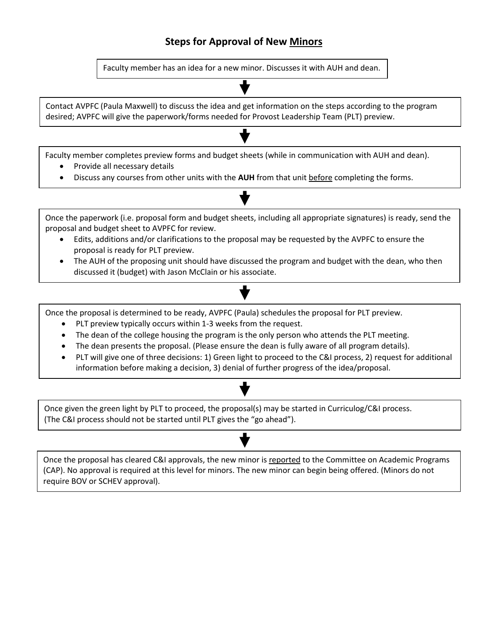# **Steps for Approval of New Minors**

Faculty member has an idea for a new minor. Discusses it with AUH and dean.

Contact AVPFC (Paula Maxwell) to discuss the idea and get information on the steps according to the program desired; AVPFC will give the paperwork/forms needed for Provost Leadership Team (PLT) preview.

Faculty member completes preview forms and budget sheets (while in communication with AUH and dean).

- Provide all necessary details
- Discuss any courses from other units with the **AUH** from that unit before completing the forms.

Once the paperwork (i.e. proposal form and budget sheets, including all appropriate signatures) is ready, send the proposal and budget sheet to AVPFC for review. Edits, additions and/or clarifications to the proposal may be requested by the AVPFC to ensure the proposal is ready for PLT preview.

• The AUH of the proposing unit should have discussed the program and budget with the dean, who then discussed it (budget) with Jason McClain or his associate.

Once the proposal is determined to be ready, AVPFC (Paula) schedules the proposal for PLT preview.

- PLT preview typically occurs within 1-3 weeks from the request.
- The dean of the college housing the program is the only person who attends the PLT meeting.
- The dean presents the proposal. (Please ensure the dean is fully aware of all program details).
- PLT will give one of three decisions: 1) Green light to proceed to the C&I process, 2) request for additional information before making a decision, 3) denial of further progress of the idea/proposal.

Once given the green light by PLT to proceed, the proposal(s) may be started in Curriculog/C&I process. (The C&I process should not be started until PLT gives the "go ahead").

Once the proposal has cleared C&I approvals, the new minor is reported to the Committee on Academic Programs (CAP). No approval is required at this level for minors. The new minor can begin being offered. (Minors do not require BOV or SCHEV approval).